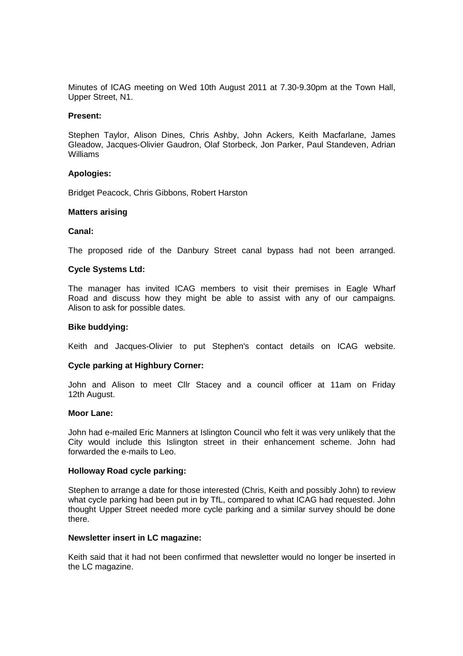Minutes of ICAG meeting on Wed 10th August 2011 at 7.30-9.30pm at the Town Hall, Upper Street, N1.

#### **Present:**

Stephen Taylor, Alison Dines, Chris Ashby, John Ackers, Keith Macfarlane, James Gleadow, Jacques-Olivier Gaudron, Olaf Storbeck, Jon Parker, Paul Standeven, Adrian Williams

### **Apologies:**

Bridget Peacock, Chris Gibbons, Robert Harston

### **Matters arising**

### **Canal:**

The proposed ride of the Danbury Street canal bypass had not been arranged.

### **Cycle Systems Ltd:**

The manager has invited ICAG members to visit their premises in Eagle Wharf Road and discuss how they might be able to assist with any of our campaigns. Alison to ask for possible dates.

#### **Bike buddying:**

Keith and Jacques-Olivier to put Stephen's contact details on ICAG website.

## **Cycle parking at Highbury Corner:**

John and Alison to meet Cllr Stacey and a council officer at 11am on Friday 12th August.

#### **Moor Lane:**

John had e-mailed Eric Manners at Islington Council who felt it was very unlikely that the City would include this Islington street in their enhancement scheme. John had forwarded the e-mails to Leo.

#### **Holloway Road cycle parking:**

Stephen to arrange a date for those interested (Chris, Keith and possibly John) to review what cycle parking had been put in by TfL, compared to what ICAG had requested. John thought Upper Street needed more cycle parking and a similar survey should be done there.

#### **Newsletter insert in LC magazine:**

Keith said that it had not been confirmed that newsletter would no longer be inserted in the LC magazine.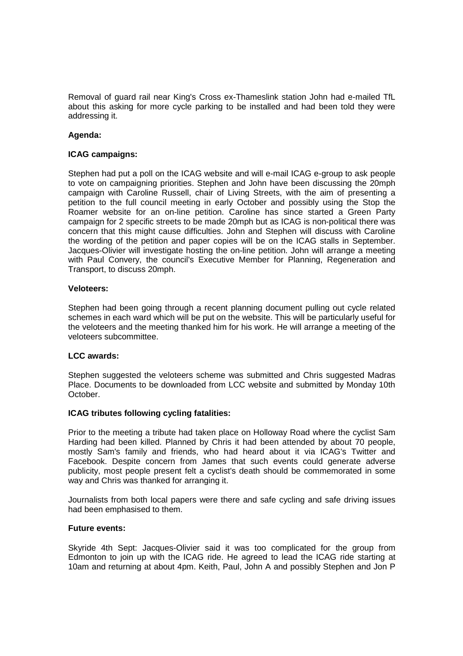Removal of guard rail near King's Cross ex-Thameslink station John had e-mailed TfL about this asking for more cycle parking to be installed and had been told they were addressing it.

# **Agenda:**

# **ICAG campaigns:**

Stephen had put a poll on the ICAG website and will e-mail ICAG e-group to ask people to vote on campaigning priorities. Stephen and John have been discussing the 20mph campaign with Caroline Russell, chair of Living Streets, with the aim of presenting a petition to the full council meeting in early October and possibly using the Stop the Roamer website for an on-line petition. Caroline has since started a Green Party campaign for 2 specific streets to be made 20mph but as ICAG is non-political there was concern that this might cause difficulties. John and Stephen will discuss with Caroline the wording of the petition and paper copies will be on the ICAG stalls in September. Jacques-Olivier will investigate hosting the on-line petition. John will arrange a meeting with Paul Convery, the council's Executive Member for Planning, Regeneration and Transport, to discuss 20mph.

## **Veloteers:**

Stephen had been going through a recent planning document pulling out cycle related schemes in each ward which will be put on the website. This will be particularly useful for the veloteers and the meeting thanked him for his work. He will arrange a meeting of the veloteers subcommittee.

## **LCC awards:**

Stephen suggested the veloteers scheme was submitted and Chris suggested Madras Place. Documents to be downloaded from LCC website and submitted by Monday 10th October.

## **ICAG tributes following cycling fatalities:**

Prior to the meeting a tribute had taken place on Holloway Road where the cyclist Sam Harding had been killed. Planned by Chris it had been attended by about 70 people, mostly Sam's family and friends, who had heard about it via ICAG's Twitter and Facebook. Despite concern from James that such events could generate adverse publicity, most people present felt a cyclist's death should be commemorated in some way and Chris was thanked for arranging it.

Journalists from both local papers were there and safe cycling and safe driving issues had been emphasised to them.

## **Future events:**

Skyride 4th Sept: Jacques-Olivier said it was too complicated for the group from Edmonton to join up with the ICAG ride. He agreed to lead the ICAG ride starting at 10am and returning at about 4pm. Keith, Paul, John A and possibly Stephen and Jon P